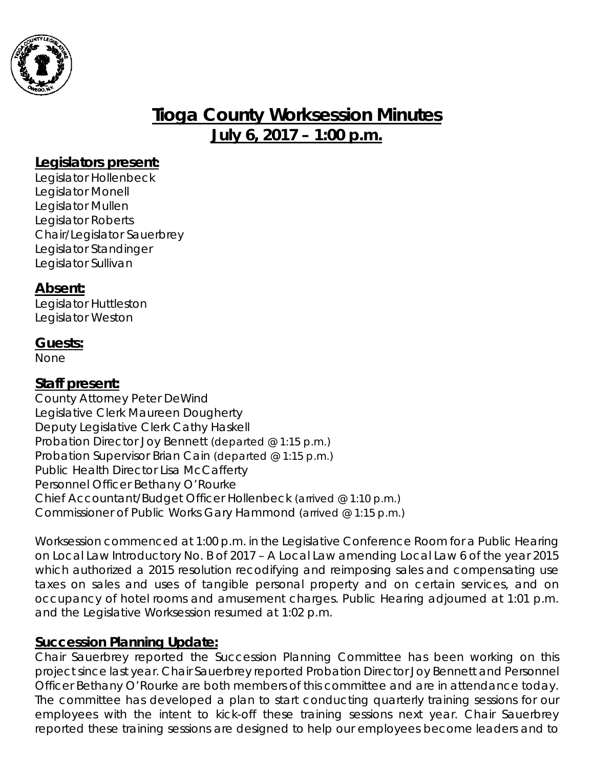

# **Tioga County Worksession Minutes July 6, 2017 – 1:00 p.m.**

### **Legislators present:**

Legislator Hollenbeck Legislator Monell Legislator Mullen Legislator Roberts Chair/Legislator Sauerbrey Legislator Standinger Legislator Sullivan

#### **Absent:**

Legislator Huttleston Legislator Weston

### **Guests:**

None

#### **Staff present:**

County Attorney Peter DeWind Legislative Clerk Maureen Dougherty Deputy Legislative Clerk Cathy Haskell Probation Director Joy Bennett *(departed @ 1:15 p.m.)* Probation Supervisor Brian Cain *(departed @ 1:15 p.m.)* Public Health Director Lisa McCafferty Personnel Officer Bethany O'Rourke Chief Accountant/Budget Officer Hollenbeck *(arrived @ 1:10 p.m.)* Commissioner of Public Works Gary Hammond *(arrived @ 1:15 p.m.)*

*Worksession commenced at 1:00 p.m. in the Legislative Conference Room for a Public Hearing on Local Law Introductory No. B of 2017 – A Local Law amending Local Law 6 of the year 2015 which authorized a 2015 resolution recodifying and reimposing sales and compensating use taxes on sales and uses of tangible personal property and on certain services, and on occupancy of hotel rooms and amusement charges. Public Hearing adjourned at 1:01 p.m. and the Legislative Worksession resumed at 1:02 p.m.*

## **Succession Planning Update:**

Chair Sauerbrey reported the Succession Planning Committee has been working on this project since last year. Chair Sauerbrey reported Probation Director Joy Bennett and Personnel Officer Bethany O'Rourke are both members of this committee and are in attendance today. The committee has developed a plan to start conducting quarterly training sessions for our employees with the intent to kick-off these training sessions next year. Chair Sauerbrey reported these training sessions are designed to help our employees become leaders and to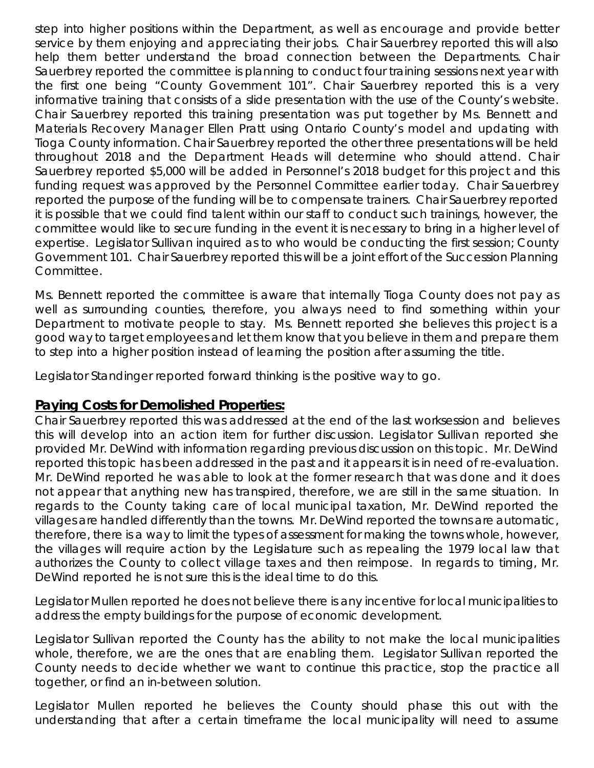step into higher positions within the Department, as well as encourage and provide better service by them enjoying and appreciating their jobs. Chair Sauerbrey reported this will also help them better understand the broad connection between the Departments. Chair Sauerbrey reported the committee is planning to conduct four training sessions next year with the first one being "County Government 101". Chair Sauerbrey reported this is a very informative training that consists of a slide presentation with the use of the County's website. Chair Sauerbrey reported this training presentation was put together by Ms. Bennett and Materials Recovery Manager Ellen Pratt using Ontario County's model and updating with Tioga County information. Chair Sauerbrey reported the other three presentations will be held throughout 2018 and the Department Heads will determine who should attend. Chair Sauerbrey reported \$5,000 will be added in Personnel's 2018 budget for this project and this funding request was approved by the Personnel Committee earlier today. Chair Sauerbrey reported the purpose of the funding will be to compensate trainers. Chair Sauerbrey reported it is possible that we could find talent within our staff to conduct such trainings, however, the committee would like to secure funding in the event it is necessary to bring in a higher level of expertise. Legislator Sullivan inquired as to who would be conducting the first session; County Government 101. Chair Sauerbrey reported this will be a joint effort of the Succession Planning Committee.

Ms. Bennett reported the committee is aware that internally Tioga County does not pay as well as surrounding counties, therefore, you always need to find something within your Department to motivate people to stay. Ms. Bennett reported she believes this project is a good way to target employees and let them know that you believe in them and prepare them to step into a higher position instead of learning the position after assuming the title.

Legislator Standinger reported forward thinking is the positive way to go.

#### **Paying Costs for Demolished Properties:**

Chair Sauerbrey reported this was addressed at the end of the last worksession and believes this will develop into an action item for further discussion. Legislator Sullivan reported she provided Mr. DeWind with information regarding previous discussion on this topic. Mr. DeWind reported this topic has been addressed in the past and it appears it is in need of re-evaluation. Mr. DeWind reported he was able to look at the former research that was done and it does not appear that anything new has transpired, therefore, we are still in the same situation. In regards to the County taking care of local municipal taxation, Mr. DeWind reported the villages are handled differently than the towns. Mr. DeWind reported the towns are automatic, therefore, there is a way to limit the types of assessment for making the towns whole, however, the villages will require action by the Legislature such as repealing the 1979 local law that authorizes the County to collect village taxes and then reimpose. In regards to timing, Mr. DeWind reported he is not sure this is the ideal time to do this.

Legislator Mullen reported he does not believe there is any incentive for local municipalities to address the empty buildings for the purpose of economic development.

Legislator Sullivan reported the County has the ability to not make the local municipalities whole, therefore, we are the ones that are enabling them. Legislator Sullivan reported the County needs to decide whether we want to continue this practice, stop the practice all together, or find an in-between solution.

Legislator Mullen reported he believes the County should phase this out with the understanding that after a certain timeframe the local municipality will need to assume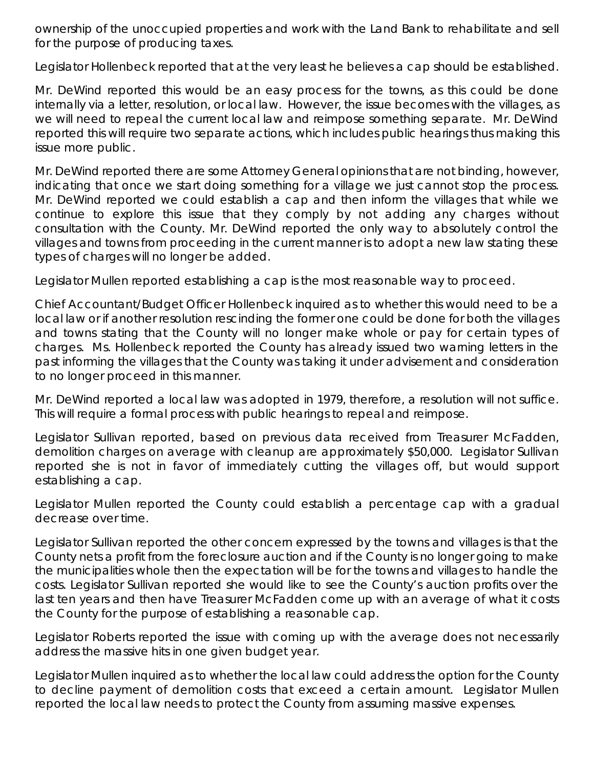ownership of the unoccupied properties and work with the Land Bank to rehabilitate and sell for the purpose of producing taxes.

Legislator Hollenbeck reported that at the very least he believes a cap should be established.

Mr. DeWind reported this would be an easy process for the towns, as this could be done internally via a letter, resolution, or local law. However, the issue becomes with the villages, as we will need to repeal the current local law and reimpose something separate. Mr. DeWind reported this will require two separate actions, which includes public hearings thus making this issue more public.

Mr. DeWind reported there are some Attorney General opinions that are not binding, however, indicating that once we start doing something for a village we just cannot stop the process. Mr. DeWind reported we could establish a cap and then inform the villages that while we continue to explore this issue that they comply by not adding any charges without consultation with the County. Mr. DeWind reported the only way to absolutely control the villages and towns from proceeding in the current manner is to adopt a new law stating these types of charges will no longer be added.

Legislator Mullen reported establishing a cap is the most reasonable way to proceed.

Chief Accountant/Budget Officer Hollenbeck inquired as to whether this would need to be a local law or if another resolution rescinding the former one could be done for both the villages and towns stating that the County will no longer make whole or pay for certain types of charges. Ms. Hollenbeck reported the County has already issued two warning letters in the past informing the villages that the County was taking it under advisement and consideration to no longer proceed in this manner.

Mr. DeWind reported a local law was adopted in 1979, therefore, a resolution will not suffice. This will require a formal process with public hearings to repeal and reimpose.

Legislator Sullivan reported, based on previous data received from Treasurer McFadden, demolition charges on average with cleanup are approximately \$50,000. Legislator Sullivan reported she is not in favor of immediately cutting the villages off, but would support establishing a cap.

Legislator Mullen reported the County could establish a percentage cap with a gradual decrease over time.

Legislator Sullivan reported the other concern expressed by the towns and villages is that the County nets a profit from the foreclosure auction and if the County is no longer going to make the municipalities whole then the expectation will be for the towns and villages to handle the costs. Legislator Sullivan reported she would like to see the County's auction profits over the last ten years and then have Treasurer McFadden come up with an average of what it costs the County for the purpose of establishing a reasonable cap.

Legislator Roberts reported the issue with coming up with the average does not necessarily address the massive hits in one given budget year.

Legislator Mullen inquired as to whether the local law could address the option for the County to decline payment of demolition costs that exceed a certain amount. Legislator Mullen reported the local law needs to protect the County from assuming massive expenses.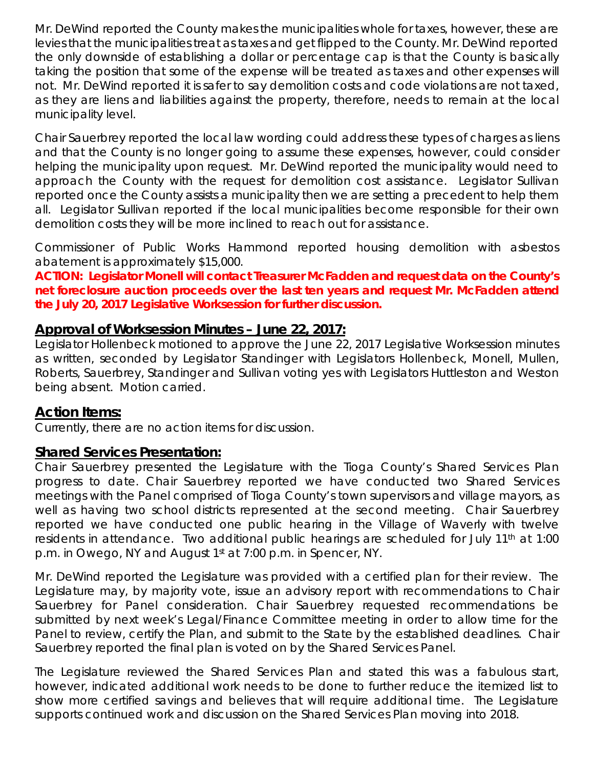Mr. DeWind reported the County makes the municipalities whole for taxes, however, these are levies that the municipalities treat as taxes and get flipped to the County. Mr. DeWind reported the only downside of establishing a dollar or percentage cap is that the County is basically taking the position that some of the expense will be treated as taxes and other expenses will not. Mr. DeWind reported it is safer to say demolition costs and code violations are not taxed, as they are liens and liabilities against the property, therefore, needs to remain at the local municipality level.

Chair Sauerbrey reported the local law wording could address these types of charges as liens and that the County is no longer going to assume these expenses, however, could consider helping the municipality upon request. Mr. DeWind reported the municipality would need to approach the County with the request for demolition cost assistance. Legislator Sullivan reported once the County assists a municipality then we are setting a precedent to help them all. Legislator Sullivan reported if the local municipalities become responsible for their own demolition costs they will be more inclined to reach out for assistance.

Commissioner of Public Works Hammond reported housing demolition with asbestos abatement is approximately \$15,000.

**ACTION: Legislator Monell will contact Treasurer McFadden and request data on the County's net foreclosure auction proceeds over the last ten years and request Mr. McFadden attend the July 20, 2017 Legislative Worksession for further discussion.** 

### **Approval of Worksession Minutes – June 22, 2017:**

Legislator Hollenbeck motioned to approve the June 22, 2017 Legislative Worksession minutes as written, seconded by Legislator Standinger with Legislators Hollenbeck, Monell, Mullen, Roberts, Sauerbrey, Standinger and Sullivan voting yes with Legislators Huttleston and Weston being absent. Motion carried.

## **Action Items:**

Currently, there are no action items for discussion.

## **Shared Services Presentation:**

Chair Sauerbrey presented the Legislature with the Tioga County's Shared Services Plan progress to date. Chair Sauerbrey reported we have conducted two Shared Services meetings with the Panel comprised of Tioga County's town supervisors and village mayors, as well as having two school districts represented at the second meeting. Chair Sauerbrey reported we have conducted one public hearing in the Village of Waverly with twelve residents in attendance. Two additional public hearings are scheduled for July 11<sup>th</sup> at 1:00 p.m. in Owego, NY and August 1st at 7:00 p.m. in Spencer, NY.

Mr. DeWind reported the Legislature was provided with a certified plan for their review. The Legislature may, by majority vote, issue an advisory report with recommendations to Chair Sauerbrey for Panel consideration. Chair Sauerbrey requested recommendations be submitted by next week's Legal/Finance Committee meeting in order to allow time for the Panel to review, certify the Plan, and submit to the State by the established deadlines. Chair Sauerbrey reported the final plan is voted on by the Shared Services Panel.

The Legislature reviewed the Shared Services Plan and stated this was a fabulous start, however, indicated additional work needs to be done to further reduce the itemized list to show more certified savings and believes that will require additional time. The Legislature supports continued work and discussion on the Shared Services Plan moving into 2018.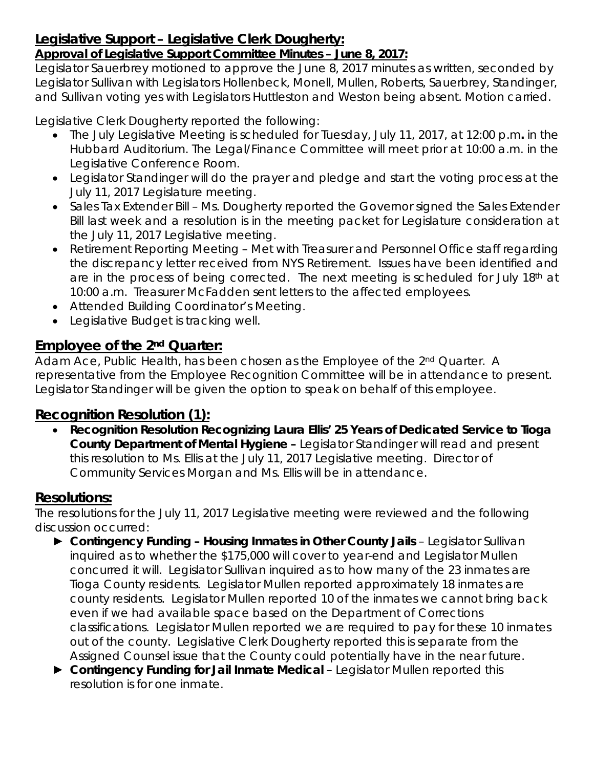## **Legislative Support – Legislative Clerk Dougherty:**

## *Approval of Legislative Support Committee Minutes – June 8, 2017:*

Legislator Sauerbrey motioned to approve the June 8, 2017 minutes as written, seconded by Legislator Sullivan with Legislators Hollenbeck, Monell, Mullen, Roberts, Sauerbrey, Standinger, and Sullivan voting yes with Legislators Huttleston and Weston being absent. Motion carried.

Legislative Clerk Dougherty reported the following:

- The July Legislative Meeting is scheduled for Tuesday, July 11, 2017, at 12:00 p.m*.* in the Hubbard Auditorium. The Legal/Finance Committee will meet prior at 10:00 a.m. in the Legislative Conference Room.
- Legislator Standinger will do the prayer and pledge and start the voting process at the July 11, 2017 Legislature meeting.
- Sales Tax Extender Bill Ms. Dougherty reported the Governor signed the Sales Extender Bill last week and a resolution is in the meeting packet for Legislature consideration at the July 11, 2017 Legislative meeting.
- Retirement Reporting Meeting Met with Treasurer and Personnel Office staff regarding the discrepancy letter received from NYS Retirement. Issues have been identified and are in the process of being corrected. The next meeting is scheduled for July  $18<sup>th</sup>$  at 10:00 a.m. Treasurer McFadden sent letters to the affected employees.
- Attended Building Coordinator's Meeting.
- Legislative Budget is tracking well.

## **Employee of the 2nd Quarter:**

Adam Ace, Public Health, has been chosen as the Employee of the 2<sup>nd</sup> Quarter. A representative from the Employee Recognition Committee will be in attendance to present. Legislator Standinger will be given the option to speak on behalf of this employee.

## **Recognition Resolution (1):**

• *Recognition Resolution Recognizing Laura Ellis' 25 Years of Dedicated Service to Tioga County Department of Mental Hygiene –* Legislator Standinger will read and present this resolution to Ms. Ellis at the July 11, 2017 Legislative meeting. Director of Community Services Morgan and Ms. Ellis will be in attendance.

## **Resolutions:**

The resolutions for the July 11, 2017 Legislative meeting were reviewed and the following discussion occurred:

- ► *Contingency Funding – Housing Inmates in Other County Jails* Legislator Sullivan inquired as to whether the \$175,000 will cover to year-end and Legislator Mullen concurred it will. Legislator Sullivan inquired as to how many of the 23 inmates are Tioga County residents. Legislator Mullen reported approximately 18 inmates are county residents. Legislator Mullen reported 10 of the inmates we cannot bring back even if we had available space based on the Department of Corrections classifications. Legislator Mullen reported we are required to pay for these 10 inmates out of the county. Legislative Clerk Dougherty reported this is separate from the Assigned Counsel issue that the County could potentially have in the near future.
- ► *Contingency Funding for Jail Inmate Medical*  Legislator Mullen reported this resolution is for one inmate.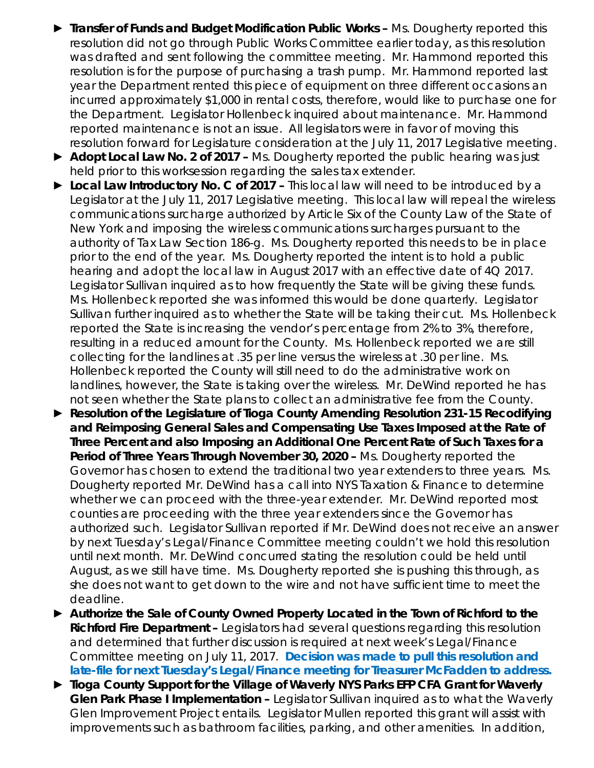- ► *Transfer of Funds and Budget Modification Public Works –* Ms. Dougherty reported this resolution did not go through Public Works Committee earlier today, as this resolution was drafted and sent following the committee meeting. Mr. Hammond reported this resolution is for the purpose of purchasing a trash pump. Mr. Hammond reported last year the Department rented this piece of equipment on three different occasions an incurred approximately \$1,000 in rental costs, therefore, would like to purchase one for the Department. Legislator Hollenbeck inquired about maintenance. Mr. Hammond reported maintenance is not an issue. All legislators were in favor of moving this resolution forward for Legislature consideration at the July 11, 2017 Legislative meeting.
- ► *Adopt Local Law No. 2 of 2017 –* Ms. Dougherty reported the public hearing was just held prior to this worksession regarding the sales tax extender.
- ► *Local Law Introductory No. C of 2017 –* This local law will need to be introduced by a Legislator at the July 11, 2017 Legislative meeting. This local law will repeal the wireless communications surcharge authorized by Article Six of the County Law of the State of New York and imposing the wireless communications surcharges pursuant to the authority of Tax Law Section 186-g. Ms. Dougherty reported this needs to be in place prior to the end of the year. Ms. Dougherty reported the intent is to hold a public hearing and adopt the local law in August 2017 with an effective date of 4Q 2017. Legislator Sullivan inquired as to how frequently the State will be giving these funds. Ms. Hollenbeck reported she was informed this would be done quarterly. Legislator Sullivan further inquired as to whether the State will be taking their cut. Ms. Hollenbeck reported the State is increasing the vendor's percentage from 2% to 3%, therefore, resulting in a reduced amount for the County. Ms. Hollenbeck reported we are still collecting for the landlines at .35 per line versus the wireless at .30 per line. Ms. Hollenbeck reported the County will still need to do the administrative work on landlines, however, the State is taking over the wireless. Mr. DeWind reported he has not seen whether the State plans to collect an administrative fee from the County.
- ► *Resolution of the Legislature of Tioga County Amending Resolution 231-15 Recodifying and Reimposing General Sales and Compensating Use Taxes Imposed at the Rate of Three Percent and also Imposing an Additional One Percent Rate of Such Taxes for a Period of Three Years Through November 30, 2020 –* Ms. Dougherty reported the Governor has chosen to extend the traditional two year extenders to three years. Ms. Dougherty reported Mr. DeWind has a call into NYS Taxation & Finance to determine whether we can proceed with the three-year extender. Mr. DeWind reported most counties are proceeding with the three year extenders since the Governor has authorized such. Legislator Sullivan reported if Mr. DeWind does not receive an answer by next Tuesday's Legal/Finance Committee meeting couldn't we hold this resolution until next month. Mr. DeWind concurred stating the resolution could be held until August, as we still have time. Ms. Dougherty reported she is pushing this through, as she does not want to get down to the wire and not have sufficient time to meet the deadline.
- ► *Authorize the Sale of County Owned Property Located in the Town of Richford to the Richford Fire Department –* Legislators had several questions regarding this resolution and determined that further discussion is required at next week's Legal/Finance Committee meeting on July 11, 2017. **Decision was made to pull this resolution and late-file for next Tuesday's Legal/Finance meeting for Treasurer McFadden to address.**
- ► *Tioga County Support for the Village of Waverly NYS Parks EFP CFA Grant for Waverly Glen Park Phase I Implementation –* Legislator Sullivan inquired as to what the Waverly Glen Improvement Project entails. Legislator Mullen reported this grant will assist with improvements such as bathroom facilities, parking, and other amenities. In addition,